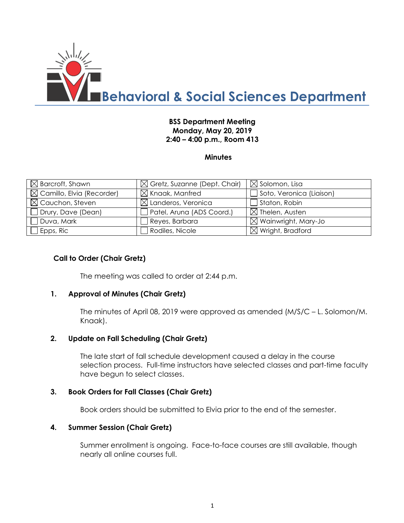

### **BSS Department Meeting Monday, May 20, 2019 2:40 – 4:00 p.m., Room 413**

#### **Minutes**

| $\boxtimes$ Barcroft, Shawn           | $\boxtimes$ Gretz, Suzanne (Dept. Chair) | $\boxtimes$ Solomon, Lisa       |
|---------------------------------------|------------------------------------------|---------------------------------|
| $\boxtimes$ Camillo, Elvia (Recorder) | $\boxtimes$ Knaak, Manfred               | $\Box$ Soto, Veronica (Liaison) |
| $\boxtimes$ Cauchon, Steven           | $\boxtimes$ Landeros, Veronica           | $\Box$ Staton, Robin            |
| Drury, Dave (Dean)                    | Patel, Aruna (ADS Coord.)                | $\boxtimes$ Thelen, Austen      |
| $\Box$ Duva, Mark                     | Reyes, Barbara                           | $\boxtimes$ Wainwright, Mary-Jo |
| Epps, Ric                             | Rodiles, Nicole                          | $\boxtimes$ Wright, Bradford    |

#### **Call to Order (Chair Gretz)**

The meeting was called to order at 2:44 p.m.

#### **1. Approval of Minutes (Chair Gretz)**

The minutes of April 08, 2019 were approved as amended (M/S/C – L. Solomon/M. Knaak).

#### **2. Update on Fall Scheduling (Chair Gretz)**

The late start of fall schedule development caused a delay in the course selection process. Full-time instructors have selected classes and part-time faculty have begun to select classes.

#### **3. Book Orders for Fall Classes (Chair Gretz)**

Book orders should be submitted to Elvia prior to the end of the semester.

#### **4. Summer Session (Chair Gretz)**

Summer enrollment is ongoing. Face-to-face courses are still available, though nearly all online courses full.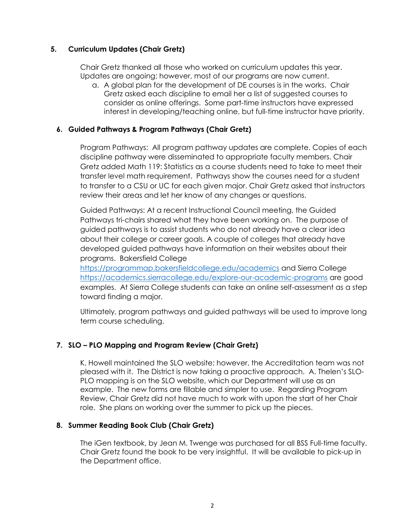## **5. Curriculum Updates (Chair Gretz)**

Chair Gretz thanked all those who worked on curriculum updates this year. Updates are ongoing; however, most of our programs are now current.

a. A global plan for the development of DE courses is in the works. Chair Gretz asked each discipline to email her a list of suggested courses to consider as online offerings. Some part-time instructors have expressed interest in developing/teaching online, but full-time instructor have priority.

## **6. Guided Pathways & Program Pathways (Chair Gretz)**

Program Pathways: All program pathway updates are complete. Copies of each discipline pathway were disseminated to appropriate faculty members. Chair Gretz added Math 119: Statistics as a course students need to take to meet their transfer level math requirement. Pathways show the courses need for a student to transfer to a CSU or UC for each given major. Chair Gretz asked that instructors review their areas and let her know of any changes or questions.

Guided Pathways: At a recent Instructional Council meeting, the Guided Pathways tri-chairs shared what they have been working on. The purpose of guided pathways is to assist students who do not already have a clear idea about their college or career goals. A couple of colleges that already have developed guided pathways have information on their websites about their programs. Bakersfield College

<https://programmap.bakersfieldcollege.edu/academics> and Sierra College <https://academics.sierracollege.edu/explore-our-academic-programs> are good examples. At Sierra College students can take an online self-assessment as a step toward finding a major.

Ultimately, program pathways and guided pathways will be used to improve long term course scheduling.

## **7. SLO – PLO Mapping and Program Review (Chair Gretz)**

K. Howell maintained the SLO website; however, the Accreditation team was not pleased with it. The District is now taking a proactive approach. A. Thelen's SLO-PLO mapping is on the SLO website, which our Department will use as an example. The new forms are fillable and simpler to use. Regarding Program Review, Chair Gretz did not have much to work with upon the start of her Chair role. She plans on working over the summer to pick up the pieces.

## **8. Summer Reading Book Club (Chair Gretz)**

The iGen textbook, by Jean M. Twenge was purchased for all BSS Full-time faculty. Chair Gretz found the book to be very insightful. It will be available to pick-up in the Department office.